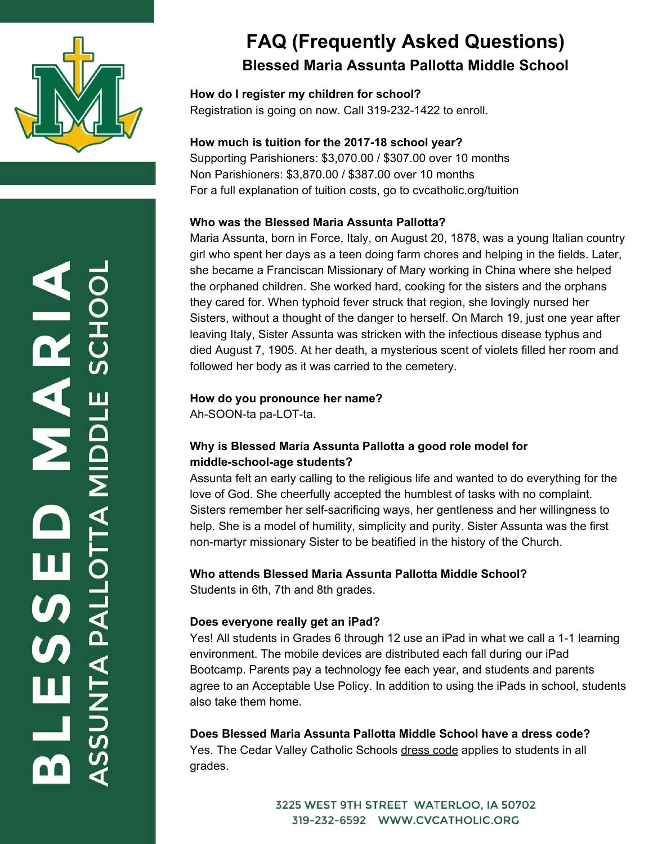

# **FAQ (Frequently Asked Questions) Blessed Maria Assunta Pallotta Middle School**

**How do I register my children for school?** [Registration](http://www.cvcatholicschools.org/blessed-maria-assunta-pallotta-middle-school/family-information/registration) is going on now. Call 319-232-1422 to enroll.

#### **How much is tuition for the 2017-18 school year?**

Supporting Parishioners: \$3,070.00 / \$307.00 over 10 months Non Parishioners: \$3,870.00 / \$387.00 over 10 months For a full explanation of tuition costs, go to cvcatholic.org/tuition

#### **Who was the Blessed Maria Assunta Pallotta?**

Maria Assunta, born in Force, Italy, on August 20, 1878, was a young Italian country girl who spent her days as a teen doing farm chores and helping in the fields. Later, she became a Franciscan Missionary of Mary working in China where she helped the orphaned children. She worked hard, cooking for the sisters and the orphans they cared for. When typhoid fever struck that region, she lovingly nursed her Sisters, without a thought of the danger to herself. On March 19, just one year after leaving Italy, Sister Assunta was stricken with the infectious disease typhus and died August 7, 1905. At her death, a mysterious scent of violets filled her room and followed her body as it was carried to the cemetery.

#### **How do you pronounce her name?**

Ah-SOON-ta pa-LOT-ta.

### **Why is Blessed Maria Assunta Pallotta a good role model for middle-school-age students?**

Assunta felt an early calling to the religious life and wanted to do everything for the love of God. She cheerfully accepted the humblest of tasks with no complaint. Sisters remember her self-sacrificing ways, her gentleness and her willingness to help. She is a model of humility, simplicity and purity. Sister Assunta was the first non-martyr missionary Sister to be beatified in the history of the Church.

### **Who attends Blessed Maria Assunta Pallotta Middle School?**

Students in 6th, 7th and 8th grades.

### **Does everyone really get an iPad?**

Yes! All students in Grades 6 through 12 use an iPad in what we call a 1-1 learning environment. The mobile devices are distributed each fall during our iPad Bootcamp. Parents pay a technology fee each year, and students and parents agree to an Acceptable Use Policy. In addition to using the iPads in school, students also take them home.

**Does Blessed Maria Assunta Pallotta Middle School have a dress code?**

Yes. The Cedar Valley Catholic Schools [dress code](http://www.cvcatholicschools.org/blessed-maria-assunta-pallotta-middle-school/family-information/dress-code) applies to students in all grades.